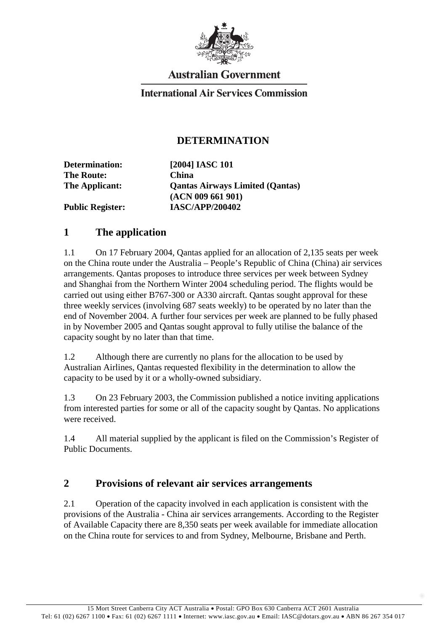

# **Australian Government**

### **International Air Services Commission**

#### **DETERMINATION**

**Determination: [2004] IASC 101 The Route: China**

**The Applicant: Qantas Airways Limited (Qantas) (ACN 009 661 901) Public Register: IASC/APP/200402**

#### **1 The application**

1.1 On 17 February 2004, Qantas applied for an allocation of 2,135 seats per week on the China route under the Australia – People's Republic of China (China) air services arrangements. Qantas proposes to introduce three services per week between Sydney and Shanghai from the Northern Winter 2004 scheduling period. The flights would be carried out using either B767-300 or A330 aircraft. Qantas sought approval for these three weekly services (involving 687 seats weekly) to be operated by no later than the end of November 2004. A further four services per week are planned to be fully phased in by November 2005 and Qantas sought approval to fully utilise the balance of the capacity sought by no later than that time.

1.2 Although there are currently no plans for the allocation to be used by Australian Airlines, Qantas requested flexibility in the determination to allow the capacity to be used by it or a wholly-owned subsidiary.

1.3 On 23 February 2003, the Commission published a notice inviting applications from interested parties for some or all of the capacity sought by Qantas. No applications were received.

1.4 All material supplied by the applicant is filed on the Commission's Register of Public Documents.

### **2 Provisions of relevant air services arrangements**

2.1 Operation of the capacity involved in each application is consistent with the provisions of the Australia - China air services arrangements. According to the Register of Available Capacity there are 8,350 seats per week available for immediate allocation on the China route for services to and from Sydney, Melbourne, Brisbane and Perth.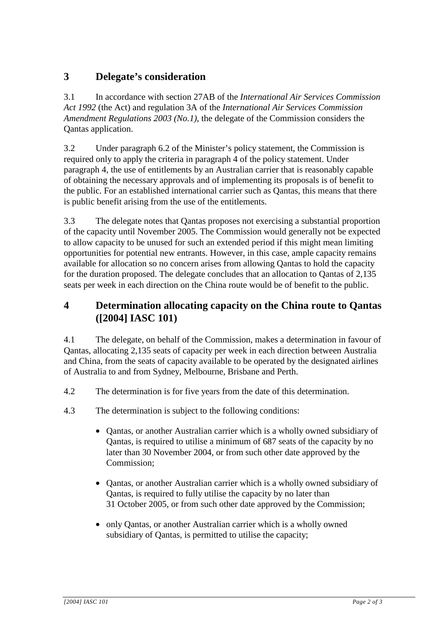# **3 Delegate's consideration**

3.1 In accordance with section 27AB of the *International Air Services Commission Act 1992* (the Act) and regulation 3A of the *International Air Services Commission Amendment Regulations 2003 (No.1)*, the delegate of the Commission considers the Qantas application.

3.2 Under paragraph 6.2 of the Minister's policy statement, the Commission is required only to apply the criteria in paragraph 4 of the policy statement. Under paragraph 4, the use of entitlements by an Australian carrier that is reasonably capable of obtaining the necessary approvals and of implementing its proposals is of benefit to the public. For an established international carrier such as Qantas, this means that there is public benefit arising from the use of the entitlements.

3.3 The delegate notes that Qantas proposes not exercising a substantial proportion of the capacity until November 2005. The Commission would generally not be expected to allow capacity to be unused for such an extended period if this might mean limiting opportunities for potential new entrants. However, in this case, ample capacity remains available for allocation so no concern arises from allowing Qantas to hold the capacity for the duration proposed. The delegate concludes that an allocation to Qantas of 2,135 seats per week in each direction on the China route would be of benefit to the public.

## **4 Determination allocating capacity on the China route to Qantas ([2004] IASC 101)**

4.1 The delegate, on behalf of the Commission, makes a determination in favour of Qantas, allocating 2,135 seats of capacity per week in each direction between Australia and China, from the seats of capacity available to be operated by the designated airlines of Australia to and from Sydney, Melbourne, Brisbane and Perth.

- 4.2 The determination is for five years from the date of this determination.
- 4.3 The determination is subject to the following conditions:
	- Qantas, or another Australian carrier which is a wholly owned subsidiary of Qantas, is required to utilise a minimum of 687 seats of the capacity by no later than 30 November 2004, or from such other date approved by the Commission;
	- Qantas, or another Australian carrier which is a wholly owned subsidiary of Qantas, is required to fully utilise the capacity by no later than 31 October 2005, or from such other date approved by the Commission;
	- only Qantas, or another Australian carrier which is a wholly owned subsidiary of Qantas, is permitted to utilise the capacity;